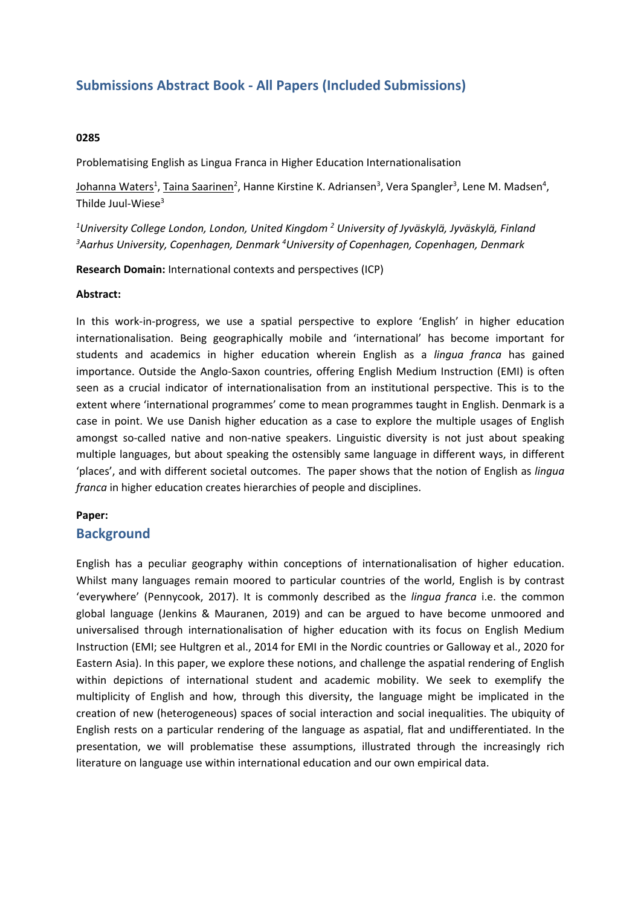# **Submissions Abstract Book - All Papers (Included Submissions)**

### **0285**

Problematising English as Lingua Franca in Higher Education Internationalisation

Johanna Waters<sup>1</sup>, <u>Taina Saarinen</u><sup>2</sup>, Hanne Kirstine K. Adriansen<sup>3</sup>, Vera Spangler<sup>3</sup>, Lene M. Madsen<sup>4</sup>, Thilde Juul-Wiese $3$ 

*1 University College London, London, United Kingdom <sup>2</sup> University of Jyväskylä, Jyväskylä, Finland 3 Aarhus University, Copenhagen, Denmark 4 University of Copenhagen, Copenhagen, Denmark*

**Research Domain:** International contexts and perspectives (ICP)

#### **Abstract:**

In this work-in-progress, we use <sup>a</sup> spatial perspective to explore 'English' in higher education internationalisation. Being geographically mobile and 'international' has become important for students and academics in higher education wherein English as <sup>a</sup> *lingua franca* has gained importance. Outside the Anglo-Saxon countries, offering English Medium Instruction (EMI) is often seen as <sup>a</sup> crucial indicator of internationalisation from an institutional perspective. This is to the extent where 'international programmes' come to mean programmes taught in English. Denmark is <sup>a</sup> case in point. We use Danish higher education as <sup>a</sup> case to explore the multiple usages of English amongst so-called native and non-native speakers. Linguistic diversity is not just about speaking multiple languages, but about speaking the ostensibly same language in different ways, in different 'places', and with different societal outcomes. The paper shows that the notion of English as *lingua franca* in higher education creates hierarchies of people and disciplines.

### **Paper:**

### **Background**

English has <sup>a</sup> peculiar geography within conceptions of internationalisation of higher education. Whilst many languages remain moored to particular countries of the world, English is by contrast 'everywhere' (Pennycook, 2017). It is commonly described as the *lingua franca* i.e. the common global language (Jenkins & Mauranen, 2019) and can be argued to have become unmoored and universalised through internationalisation of higher education with its focus on English Medium Instruction (EMI; see Hultgren et al., 2014 for EMI in the Nordic countries or Galloway et al., 2020 for Eastern Asia). In this paper, we explore these notions, and challenge the aspatial rendering of English within depictions of international student and academic mobility. We seek to exemplify the multiplicity of English and how, through this diversity, the language might be implicated in the creation of new (heterogeneous) spaces of social interaction and social inequalities. The ubiquity of English rests on <sup>a</sup> particular rendering of the language as aspatial, flat and undifferentiated. In the presentation, we will problematise these assumptions, illustrated through the increasingly rich literature on language use within international education and our own empirical data.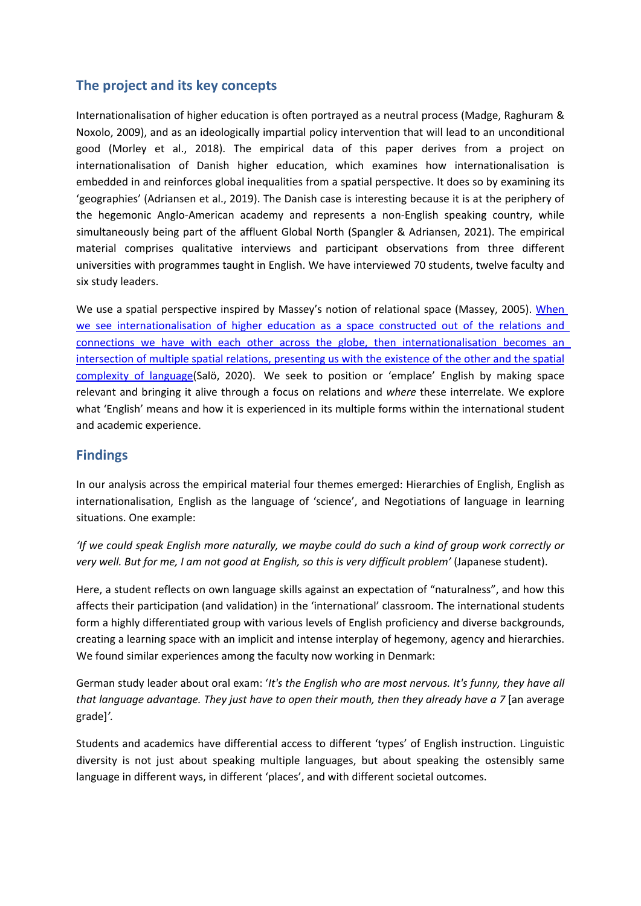## **The project and its key concepts**

Internationalisation of higher education is often portrayed as <sup>a</sup> neutral process (Madge, Raghuram & Noxolo, 2009), and as an ideologically impartial policy intervention that will lead to an unconditional good (Morley et al., 2018). The empirical data of this paper derives from <sup>a</sup> project on internationalisation of Danish higher education, which examines how internationalisation is embedded in and reinforces global inequalities from <sup>a</sup> spatial perspective. It does so by examining its 'geographies' (Adriansen et al., 2019). The Danish case is interesting because it is at the periphery of the hegemonic Anglo-American academy and represents <sup>a</sup> non-English speaking country, while simultaneously being part of the affluent Global North (Spangler & Adriansen, 2021). The empirical material comprises qualitative interviews and participant observations from three different universities with programmes taught in English. We have interviewed 70 students, twelve faculty and six study leaders.

We use a spatial perspective inspired by Massey's notion of relational space (Massey, 2005). When we see internationalisation of higher education as <sup>a</sup> space constructed out of the relations and connections we have with each other across the globe, then internationalisation becomes an intersection of multiple spatial relations, presenting us with the existence of the other and the spatial complexity of language(Salö, 2020). We seek to position or 'emplace' English by making space relevant and bringing it alive through <sup>a</sup> focus on relations and *where* these interrelate. We explore what 'English' means and how it is experienced in its multiple forms within the international student and academic experience.

## **Findings**

In our analysis across the empirical material four themes emerged: Hierarchies of English, English as internationalisation, English as the language of 'science', and Negotiations of language in learning situations. One example:

'If we could speak English more naturally, we maybe could do such a kind of group work correctly or *very well. But for me, I am not good at English, so this is very difficult problem'* (Japanese student).

Here, <sup>a</sup> student reflects on own language skills against an expectation of "naturalness", and how this affects their participation (and validation) in the 'international' classroom. The international students form <sup>a</sup> highly differentiated group with various levels of English proficiency and diverse backgrounds, creating <sup>a</sup> learning space with an implicit and intense interplay of hegemony, agency and hierarchies. We found similar experiences among the faculty now working in Denmark:

German study leader about oral exam: '*It's the English who are most nervous. It's funny, they have all that language advantage. They just have to open their mouth, then they already have <sup>a</sup> 7* [an average grade]*'.*

Students and academics have differential access to different 'types' of English instruction. Linguistic diversity is not just about speaking multiple languages, but about speaking the ostensibly same language in different ways, in different 'places', and with different societal outcomes.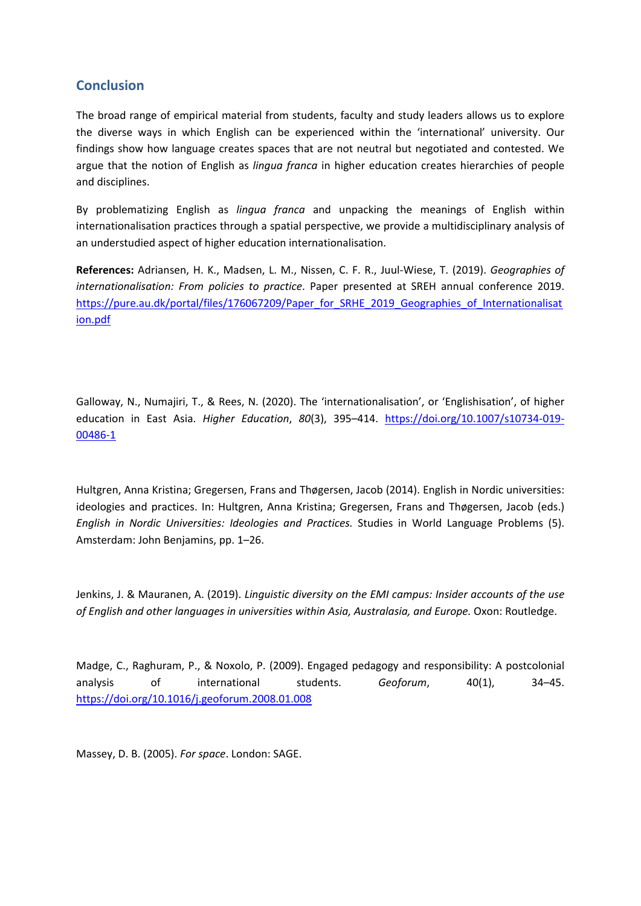## **Conclusion**

The broad range of empirical material from students, faculty and study leaders allows us to explore the diverse ways in which English can be experienced within the 'international' university. Our findings show how language creates spaces that are not neutral but negotiated and contested. We argue that the notion of English as *lingua franca* in higher education creates hierarchies of people and disciplines.

By problematizing English as *lingua franca* and unpacking the meanings of English within internationalisation practices through <sup>a</sup> spatial perspective, we provide <sup>a</sup> multidisciplinary analysis of an understudied aspect of higher education internationalisation.

**References:** Adriansen, H. K., Madsen, L. M., Nissen, C. F. R., Juul-Wiese, T. (2019). *Geographies of internationalisation: From policies to practice*. Paper presented at SREH annual conference 2019. [https://pure.au.dk/portal/files/176067209/Paper\\_for\\_SRHE\\_2019\\_Geographies\\_of\\_Internationalisat](https://pure.au.dk/portal/files/176067209/Paper_for_SRHE_2019_Geographies_of_Internationalisation.pdf) [ion.pdf](https://pure.au.dk/portal/files/176067209/Paper_for_SRHE_2019_Geographies_of_Internationalisation.pdf)

Galloway, N., Numajiri, T., & Rees, N. (2020). The 'internationalisation', or 'Englishisation', of higher education in East Asia. *Higher Education*, *80*(3), 395–414. [https://doi.org/10.1007/s10734-019-](https://doi.org/10.1007/s10734-019-00486-1) [00486-1](https://doi.org/10.1007/s10734-019-00486-1)

Hultgren, Anna Kristina; Gregersen, Frans and Thøgersen, Jacob (2014). English in Nordic universities: ideologies and practices. In: Hultgren, Anna Kristina; Gregersen, Frans and Thøgersen, Jacob (eds.) *English in Nordic Universities: Ideologies and Practices.* Studies in World Language Problems (5). Amsterdam: John Benjamins, pp. 1–26.

Jenkins, J. &Mauranen, A. (2019). *Linguistic diversity on the EMI campus: Insider accounts of the use of English and other languages in universities within Asia, Australasia, and Europe.* Oxon: Routledge.

Madge, C., Raghuram, P., & Noxolo, P. (2009). Engaged pedagogy and responsibility: A postcolonial analysis of international students. *Geoforum*, 40(1), 34–45. <https://doi.org/10.1016/j.geoforum.2008.01.008>

Massey, D. B. (2005). *For space*. London: SAGE.